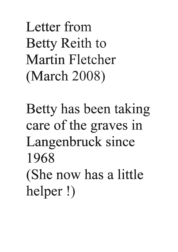Letter from Betty Reith to Martin Fletcher (March 2008)

Betty has been taking care of the graves in Langenbruck since 1968 (She now has a little helper !)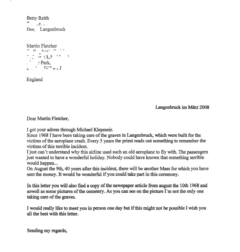Betty Reith  $\overline{a}$  .  $\overline{a}$  . ... Dor. Langenbruck

Martin Fletcher  $7.7 \t{^{8}}$   $^{15.5}$   $^{17}$  $\therefore$  Park,  $L^{\bullet}$  r.  $r_{\gamma}$  , 1

England

Langenbnick im Marz 2008

Dear Martin Fletcher,

I got your adress through Michael Klepmeir.

Since 1968 I have been taking care of the graves in Langenbruck, which were built for the victims of the aeroplane crash. Every 5 years the priest reads out something to remember the victims of this terrible incident.

I just can't understand why this airline used such an old aeroplane to fly with. The passengers just wanted to have a wonderful holiday. Nobody could have known that something terrible would happen...

On August the 9th, 40 years after this incident, there will be another Mass for which you have sent the money. It would be wonderful if you could take part in this ceremony.

In this letter you will also find a copy of the newspaper article from august the 10th 1968 and aswell as some pictures of the cemetery. As you can see on the picture I'm not the only one taking care of the graves.

I would really like to meet you in person one day but if this might not be possible I wish you all the best with this letter.

Sending my regards,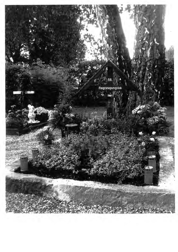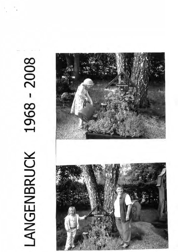## 1968 - 2008 LANGENBRUCK